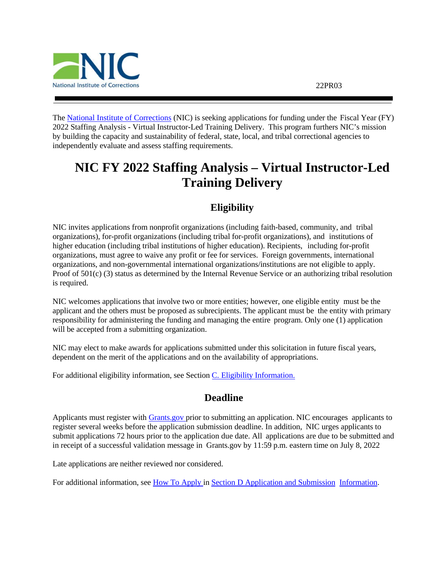

The [National Institute of Corrections](http://www.nicic.gov/) (NIC) is seeking applications for funding under the Fiscal Year (FY) 2022 Staffing Analysis - Virtual Instructor-Led Training Delivery. This program furthers NIC's mission by building the capacity and sustainability of federal, state, local, and tribal correctional agencies to independently evaluate and assess staffing requirements.

# <span id="page-0-0"></span>**NIC FY 2022 Staffing Analysis – Virtual Instructor-Led Training Delivery**

# **Eligibility**

<span id="page-0-1"></span>NIC invites applications from nonprofit organizations (including faith-based, community, and tribal organizations), for-profit organizations (including tribal for-profit organizations), and institutions of higher education (including tribal institutions of higher education). Recipients, including for-profit organizations, must agree to waive any profit or fee for services. Foreign governments, international organizations, and non-governmental international organizations/institutions are not eligible to apply. Proof of 501(c) (3) status as determined by the Internal Revenue Service or an authorizing tribal resolution is required.

NIC welcomes applications that involve two or more entities; however, one eligible entity must be the applicant and the others must be proposed as subrecipients. The applicant must be the entity with primary responsibility for administering the funding and managing the entire program. Only one (1) application will be accepted from a submitting organization.

NIC may elect to make awards for applications submitted under this solicitation in future fiscal years, dependent on the merit of the applications and on the availability of appropriations.

<span id="page-0-2"></span>For additional eligibility information, see Section C. [Eligibility Information.](#page-13-0)

## **Deadline**

Applicants must register with [Grants.gov](https://www.grants.gov/web/grants/register.html) prior to submitting an application. NIC encourages applicants to register several weeks before the application submission deadline. In addition, NIC urges applicants to submit applications 72 hours prior to the application due date. All applications are due to be submitted and in receipt of a successful validation message in Grants.gov by 11:59 p.m. eastern time on July 8, 2022

Late applications are neither reviewed nor considered.

For additional information, see How [To Apply](#page-23-0) in Section D [Application](#page-13-1) and Submission Information.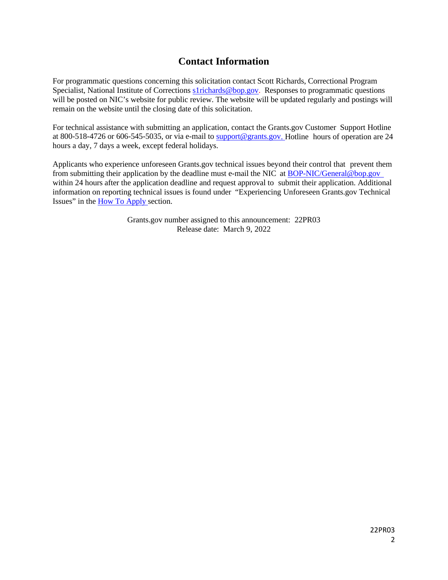# **Contact Information**

<span id="page-1-0"></span>For programmatic questions concerning this solicitation contact Scott Richards, Correctional Program Specialist, National Institute of Corrections [s1richards@bop.gov.](mailto:s1richards@bop.gov) Responses to programmatic questions will be posted on NIC's website for public review. The website will be updated regularly and postings will remain on the website until the closing date of this solicitation.

For technical assistance with submitting an application, contact the Grants.gov Customer Support Hotline at 800-518-4726 or 606-545-5035, or via e-mail to [support@grants.gov.](mailto:support@grants.gov) Hotline hours of operation are 24 hours a day, 7 days a week, except federal holidays.

Applicants who experience unforeseen Grants.gov technical issues beyond their control that prevent them from submitting their application by the deadline must e-mail the NIC at [BOP-NIC/General@bop.gov](mailto:BOP-NIC/General@bop.gov)  within 24 hours after the application deadline and request approval to submit their application. Additional information on reporting technical issues is found under "Experiencing Unforeseen Grants.gov Technical Issues" in the How To [Apply s](#page-23-0)ection.

> Grants.gov number assigned to this announcement: 22PR03 Release date: March 9, 2022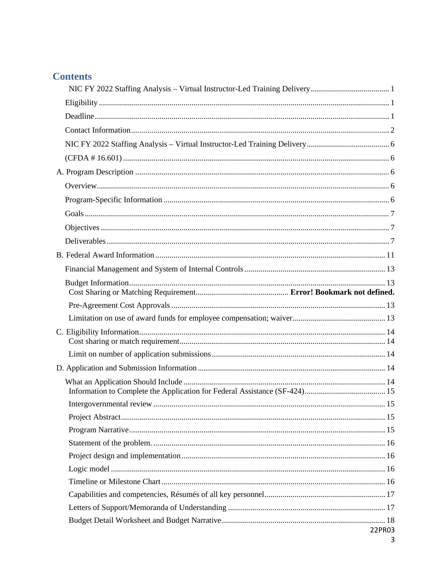# **Contents**

| 22PR03 |
|--------|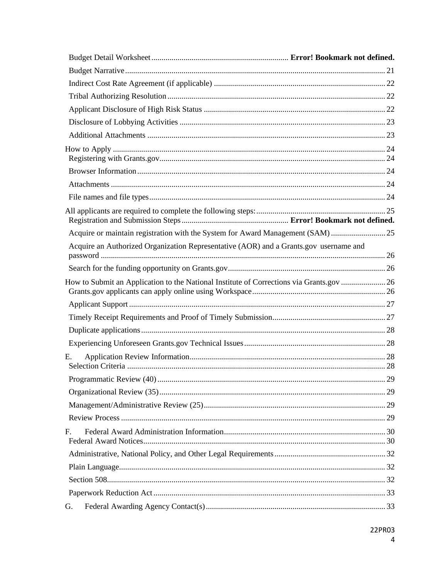| Acquire or maintain registration with the System for Award Management (SAM) 25        |  |
|---------------------------------------------------------------------------------------|--|
| Acquire an Authorized Organization Representative (AOR) and a Grants.gov username and |  |
|                                                                                       |  |
|                                                                                       |  |
|                                                                                       |  |
|                                                                                       |  |
|                                                                                       |  |
|                                                                                       |  |
| Е.                                                                                    |  |
|                                                                                       |  |
|                                                                                       |  |
|                                                                                       |  |
|                                                                                       |  |
| F.                                                                                    |  |
|                                                                                       |  |
|                                                                                       |  |
|                                                                                       |  |
|                                                                                       |  |
| G.                                                                                    |  |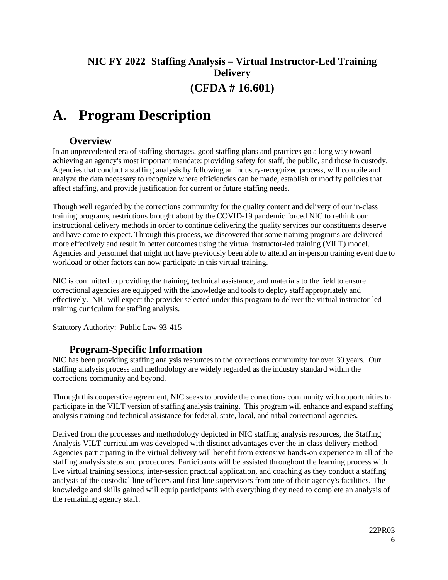# <span id="page-5-0"></span>**NIC FY 2022 Staffing Analysis – Virtual Instructor-Led Training Delivery (CFDA # 16.601)**

# <span id="page-5-2"></span><span id="page-5-1"></span>**A. Program Description**

## **Overview**

<span id="page-5-3"></span>In an unprecedented era of staffing shortages, good staffing plans and practices go a long way toward achieving an agency's most important mandate: providing safety for staff, the public, and those in custody. Agencies that conduct a staffing analysis by following an industry-recognized process, will compile and analyze the data necessary to recognize where efficiencies can be made, establish or modify policies that affect staffing, and provide justification for current or future staffing needs.

Though well regarded by the corrections community for the quality content and delivery of our in-class training programs, restrictions brought about by the COVID-19 pandemic forced NIC to rethink our instructional delivery methods in order to continue delivering the quality services our constituents deserve and have come to expect. Through this process, we discovered that some training programs are delivered more effectively and result in better outcomes using the virtual instructor-led training (VILT) model. Agencies and personnel that might not have previously been able to attend an in-person training event due to workload or other factors can now participate in this virtual training.

NIC is committed to providing the training, technical assistance, and materials to the field to ensure correctional agencies are equipped with the knowledge and tools to deploy staff appropriately and effectively. NIC will expect the provider selected under this program to deliver the virtual instructor-led training curriculum for staffing analysis.

Statutory Authority: Public Law 93-415

## **Program-Specific Information**

<span id="page-5-4"></span>NIC has been providing staffing analysis resources to the corrections community for over 30 years. Our staffing analysis process and methodology are widely regarded as the industry standard within the corrections community and beyond.

Through this cooperative agreement, NIC seeks to provide the corrections community with opportunities to participate in the VILT version of staffing analysis training. This program will enhance and expand staffing analysis training and technical assistance for federal, state, local, and tribal correctional agencies.

Derived from the processes and methodology depicted in NIC staffing analysis resources, the Staffing Analysis VILT curriculum was developed with distinct advantages over the in-class delivery method. Agencies participating in the virtual delivery will benefit from extensive hands-on experience in all of the staffing analysis steps and procedures. Participants will be assisted throughout the learning process with live virtual training sessions, inter-session practical application, and coaching as they conduct a staffing analysis of the custodial line officers and first-line supervisors from one of their agency's facilities. The knowledge and skills gained will equip participants with everything they need to complete an analysis of the remaining agency staff.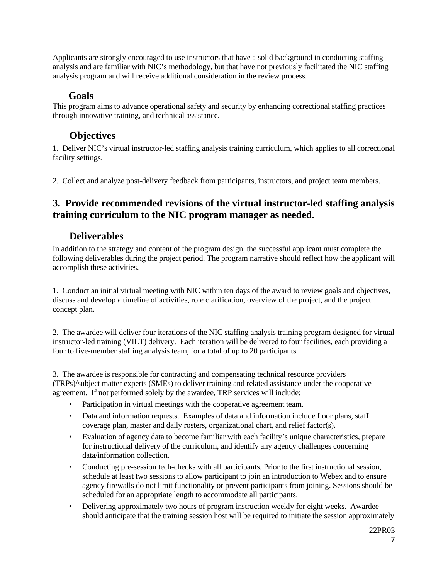Applicants are strongly encouraged to use instructors that have a solid background in conducting staffing analysis and are familiar with NIC's methodology, but that have not previously facilitated the NIC staffing analysis program and will receive additional consideration in the review process.

## **Goals**

<span id="page-6-0"></span>This program aims to advance operational safety and security by enhancing correctional staffing practices through innovative training, and technical assistance.

# **Objectives**

<span id="page-6-1"></span>1. Deliver NIC's virtual instructor-led staffing analysis training curriculum, which applies to all correctional facility settings.

2. Collect and analyze post-delivery feedback from participants, instructors, and project team members.

# **3. Provide recommended revisions of the virtual instructor-led staffing analysis training curriculum to the NIC program manager as needed.**

# **Deliverables**

<span id="page-6-2"></span>In addition to the strategy and content of the program design, the successful applicant must complete the following deliverables during the project period. The program narrative should reflect how the applicant will accomplish these activities.

1. Conduct an initial virtual meeting with NIC within ten days of the award to review goals and objectives, discuss and develop a timeline of activities, role clarification, overview of the project, and the project concept plan.

2. The awardee will deliver four iterations of the NIC staffing analysis training program designed for virtual instructor-led training (VILT) delivery. Each iteration will be delivered to four facilities, each providing a four to five-member staffing analysis team, for a total of up to 20 participants.

3. The awardee is responsible for contracting and compensating technical resource providers (TRPs)/subject matter experts (SMEs) to deliver training and related assistance under the cooperative agreement. If not performed solely by the awardee, TRP services will include:

- Participation in virtual meetings with the cooperative agreement team.
- Data and information requests. Examples of data and information include floor plans, staff coverage plan, master and daily rosters, organizational chart, and relief factor(s).
- Evaluation of agency data to become familiar with each facility's unique characteristics, prepare for instructional delivery of the curriculum, and identify any agency challenges concerning data/information collection.
- Conducting pre-session tech-checks with all participants. Prior to the first instructional session, schedule at least two sessions to allow participant to join an introduction to Webex and to ensure agency firewalls do not limit functionality or prevent participants from joining. Sessions should be scheduled for an appropriate length to accommodate all participants.
- Delivering approximately two hours of program instruction weekly for eight weeks. Awardee should anticipate that the training session host will be required to initiate the session approximately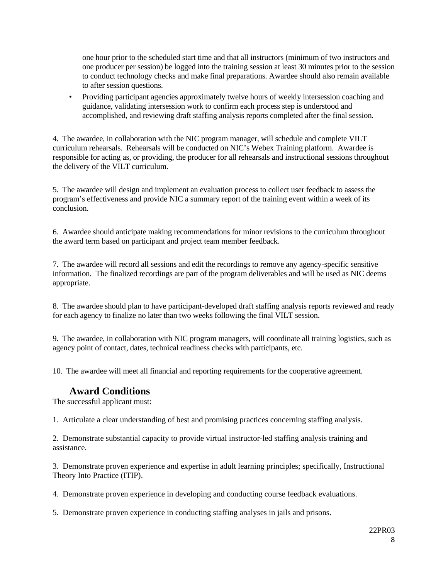one hour prior to the scheduled start time and that all instructors (minimum of two instructors and one producer per session) be logged into the training session at least 30 minutes prior to the session to conduct technology checks and make final preparations. Awardee should also remain available to after session questions.

• Providing participant agencies approximately twelve hours of weekly intersession coaching and guidance, validating intersession work to confirm each process step is understood and accomplished, and reviewing draft staffing analysis reports completed after the final session.

4. The awardee, in collaboration with the NIC program manager, will schedule and complete VILT curriculum rehearsals. Rehearsals will be conducted on NIC's Webex Training platform. Awardee is responsible for acting as, or providing, the producer for all rehearsals and instructional sessions throughout the delivery of the VILT curriculum.

5. The awardee will design and implement an evaluation process to collect user feedback to assess the program's effectiveness and provide NIC a summary report of the training event within a week of its conclusion.

6. Awardee should anticipate making recommendations for minor revisions to the curriculum throughout the award term based on participant and project team member feedback.

7. The awardee will record all sessions and edit the recordings to remove any agency-specific sensitive information. The finalized recordings are part of the program deliverables and will be used as NIC deems appropriate.

8. The awardee should plan to have participant-developed draft staffing analysis reports reviewed and ready for each agency to finalize no later than two weeks following the final VILT session.

9. The awardee, in collaboration with NIC program managers, will coordinate all training logistics, such as agency point of contact, dates, technical readiness checks with participants, etc.

10. The awardee will meet all financial and reporting requirements for the cooperative agreement.

## **Award Conditions**

The successful applicant must:

1. Articulate a clear understanding of best and promising practices concerning staffing analysis.

2. Demonstrate substantial capacity to provide virtual instructor-led staffing analysis training and assistance.

3. Demonstrate proven experience and expertise in adult learning principles; specifically, Instructional Theory Into Practice (ITIP).

4. Demonstrate proven experience in developing and conducting course feedback evaluations.

5. Demonstrate proven experience in conducting staffing analyses in jails and prisons.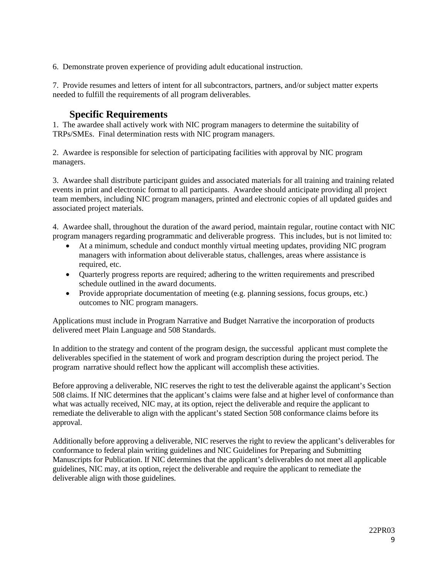6. Demonstrate proven experience of providing adult educational instruction.

7. Provide resumes and letters of intent for all subcontractors, partners, and/or subject matter experts needed to fulfill the requirements of all program deliverables.

# **Specific Requirements**

1. The awardee shall actively work with NIC program managers to determine the suitability of TRPs/SMEs. Final determination rests with NIC program managers.

2. Awardee is responsible for selection of participating facilities with approval by NIC program managers.

3. Awardee shall distribute participant guides and associated materials for all training and training related events in print and electronic format to all participants. Awardee should anticipate providing all project team members, including NIC program managers, printed and electronic copies of all updated guides and associated project materials.

4. Awardee shall, throughout the duration of the award period, maintain regular, routine contact with NIC program managers regarding programmatic and deliverable progress. This includes, but is not limited to:

- At a minimum, schedule and conduct monthly virtual meeting updates, providing NIC program managers with information about deliverable status, challenges, areas where assistance is required, etc.
- Quarterly progress reports are required; adhering to the written requirements and prescribed schedule outlined in the award documents.
- Provide appropriate documentation of meeting (e.g. planning sessions, focus groups, etc.) outcomes to NIC program managers.

Applications must include in Program Narrative and Budget Narrative the incorporation of products delivered meet Plain Language and 508 Standards.

In addition to the strategy and content of the program design, the successful applicant must complete the deliverables specified in the statement of work and program description during the project period. The program narrative should reflect how the applicant will accomplish these activities.

Before approving a deliverable, NIC reserves the right to test the deliverable against the applicant's Section 508 claims. If NIC determines that the applicant's claims were false and at higher level of conformance than what was actually received, NIC may, at its option, reject the deliverable and require the applicant to remediate the deliverable to align with the applicant's stated Section 508 conformance claims before its approval.

Additionally before approving a deliverable, NIC reserves the right to review the applicant's deliverables for conformance to federal plain writing guidelines and NIC Guidelines for Preparing and Submitting Manuscripts for Publication. If NIC determines that the applicant's deliverables do not meet all applicable guidelines, NIC may, at its option, reject the deliverable and require the applicant to remediate the deliverable align with those guidelines.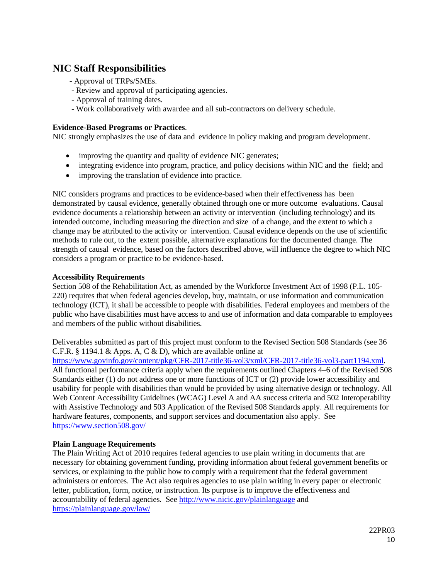# **NIC Staff Responsibilities**

- **-** Approval of TRPs/SMEs.
- Review and approval of participating agencies.
- Approval of training dates.
- Work collaboratively with awardee and all sub-contractors on delivery schedule.

### **Evidence-Based Programs or Practices**.

NIC strongly emphasizes the use of data and evidence in policy making and program development.

- improving the quantity and quality of evidence NIC generates;
- integrating evidence into program, practice, and policy decisions within NIC and the field; and
- improving the translation of evidence into practice.

NIC considers programs and practices to be evidence-based when their effectiveness has been demonstrated by causal evidence, generally obtained through one or more outcome evaluations. Causal evidence documents a relationship between an activity or intervention (including technology) and its intended outcome, including measuring the direction and size of a change, and the extent to which a change may be attributed to the activity or intervention. Causal evidence depends on the use of scientific methods to rule out, to the extent possible, alternative explanations for the documented change. The strength of causal evidence, based on the factors described above, will influence the degree to which NIC considers a program or practice to be evidence-based.

## **Accessibility Requirements**

Section 508 of the Rehabilitation Act, as amended by the Workforce Investment Act of 1998 (P.L. 105- 220) requires that when federal agencies develop, buy, maintain, or use information and communication technology (ICT), it shall be accessible to people with disabilities. Federal employees and members of the public who have disabilities must have access to and use of information and data comparable to employees and members of the public without disabilities.

Deliverables submitted as part of this project must conform to the Revised Section 508 Standards (see 36 C.F.R. § 1194.1 & Apps. A, C & D), which are available online at [https://www.govinfo.gov/content/pkg/CFR-2017-title36-vol3/xml/CFR-2017-title36-vol3-part1194.xml.](https://www.govinfo.gov/content/pkg/CFR-2017-title36-vol3/xml/CFR-2017-title36-vol3-part1194.xml) All functional performance criteria apply when the requirements outlined Chapters 4–6 of the Revised 508 Standards either (1) do not address one or more functions of ICT or (2) provide lower accessibility and usability for people with disabilities than would be provided by using alternative design or technology. All Web Content Accessibility Guidelines (WCAG) Level A and AA success criteria and 502 Interoperability with Assistive Technology and 503 Application of the Revised 508 Standards apply. All requirements for hardware features, components, and support services and documentation also apply. See <https://www.section508.gov/>

## **Plain Language Requirements**

The Plain Writing Act of 2010 requires federal agencies to use plain writing in documents that are necessary for obtaining government funding, providing information about federal government benefits or services, or explaining to the public how to comply with a requirement that the federal government administers or enforces. The Act also requires agencies to use plain writing in every paper or electronic letter, publication, form, notice, or instruction. Its purpose is to improve the effectiveness and accountability of federal agencies. See<http://www.nicic.gov/plainlanguage> and <https://plainlanguage.gov/law/>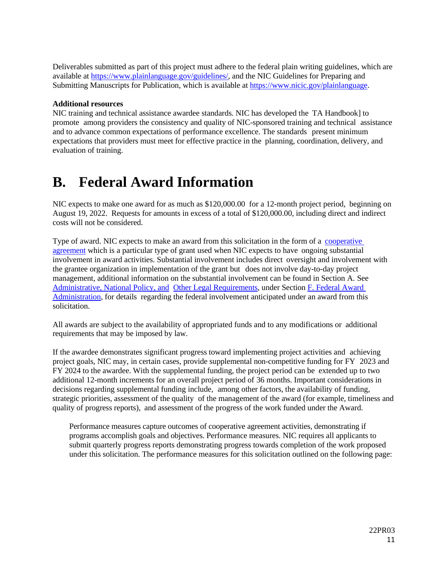Deliverables submitted as part of this project must adhere to the federal plain writing guidelines, which are available at [https://www.plainlanguage.gov/guidelines/,](https://www.plainlanguage.gov/guidelines/) and the NIC Guidelines for Preparing and Submitting Manuscripts for Publication, which is available a[t https://www.nicic.gov/plainlanguage.](https://www.nicic.gov/plainlanguage)

#### **Additional resources**

NIC training and technical assistance awardee standards. NIC has developed the TA Handbook] to promote among providers the consistency and quality of NIC-sponsored training and technical assistance and to advance common expectations of performance excellence. The standards present minimum expectations that providers must meet for effective practice in the planning, coordination, delivery, and evaluation of training.

# <span id="page-10-0"></span>**B. Federal Award Information**

NIC expects to make one award for as much as \$120,000.00 for a 12-month project period, beginning on August 19, 2022. Requests for amounts in excess of a total of \$120,000.00, including direct and indirect costs will not be considered.

Type of award. NIC expects to make an award from this solicitation in the form of a [cooperative](https://www.ecfr.gov/current/title-2/subtitle-A/chapter-II/part-200/subpart-A/subject-group-ECFR2a6a0087862fd2c/section-200.1) [agreement](https://www.ecfr.gov/current/title-2/subtitle-A/chapter-II/part-200/subpart-A/subject-group-ECFR2a6a0087862fd2c/section-200.1) which is a particular type of grant used when NIC expects to have ongoing substantial involvement in award activities. Substantial involvement includes direct oversight and involvement with the grantee organization in implementation of the grant but does not involve day-to-day project management, additional information on the substantial involvement can be found in Section A. See Administrative, [National Policy,](#page-29-0) and Other [Legal Requirements,](#page-29-0) under Section F. [Federal](#page-29-0) Award [Administration,](#page-29-0) for details regarding the federal involvement anticipated under an award from this solicitation.

All awards are subject to the availability of appropriated funds and to any modifications or additional requirements that may be imposed by law.

If the awardee demonstrates significant progress toward implementing project activities and achieving project goals, NIC may, in certain cases, provide supplemental non-competitive funding for FY 2023 and FY 2024 to the awardee. With the supplemental funding, the project period can be extended up to two additional 12-month increments for an overall project period of 36 months. Important considerations in decisions regarding supplemental funding include, among other factors, the availability of funding, strategic priorities, assessment of the quality of the management of the award (for example, timeliness and quality of progress reports), and assessment of the progress of the work funded under the Award.

Performance measures capture outcomes of cooperative agreement activities, demonstrating if programs accomplish goals and objectives. Performance measures. NIC requires all applicants to submit quarterly progress reports demonstrating progress towards completion of the work proposed under this solicitation. The performance measures for this solicitation outlined on the following page: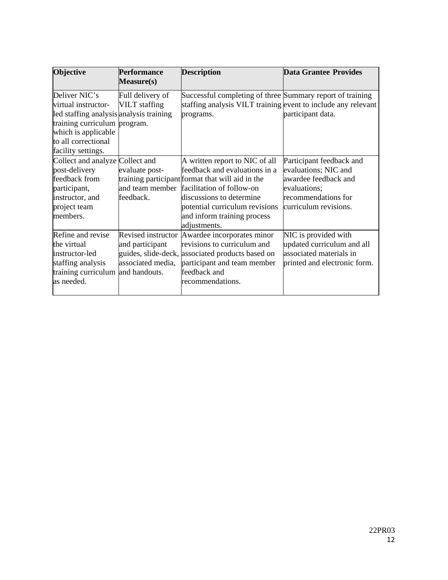| <b>Objective</b>                                                                                                                                                                    | <b>Performance</b><br>Measure(s)                           | <b>Description</b>                                                                                                                                                                                                                                                            | <b>Data Grantee Provides</b>                                                                                                             |
|-------------------------------------------------------------------------------------------------------------------------------------------------------------------------------------|------------------------------------------------------------|-------------------------------------------------------------------------------------------------------------------------------------------------------------------------------------------------------------------------------------------------------------------------------|------------------------------------------------------------------------------------------------------------------------------------------|
| Deliver NIC's<br>virtual instructor-<br>led staffing analysis analysis training<br>training curriculum program.<br>which is applicable<br>to all correctional<br>facility settings. | Full delivery of<br><b>VILT</b> staffing                   | Successful completing of three Summary report of training<br>staffing analysis VILT training event to include any relevant<br>programs.                                                                                                                                       | participant data.                                                                                                                        |
| Collect and analyze Collect and<br>post-delivery<br>feedback from<br>participant,<br>instructor, and<br>project team<br>members.                                                    | evaluate post-<br>feedback.                                | A written report to NIC of all<br>feedback and evaluations in a<br>training participant format that will aid in the<br>and team member facilitation of follow-on<br>discussions to determine<br>potential curriculum revisions<br>and inform training process<br>adjustments. | Participant feedback and<br>evaluations; NIC and<br>awardee feedback and<br>evaluations;<br>recommendations for<br>curriculum revisions. |
| Refine and revise<br>the virtual<br>instructor-led<br>staffing analysis<br>training curriculum and handouts.<br>as needed.                                                          | Revised instructor<br>and participant<br>associated media, | Awardee incorporates minor<br>revisions to curriculum and<br>guides, slide-deck, associated products based on<br>participant and team member<br>feedback and<br>recommendations.                                                                                              | NIC is provided with<br>updated curriculum and all<br>associated materials in<br>printed and electronic form.                            |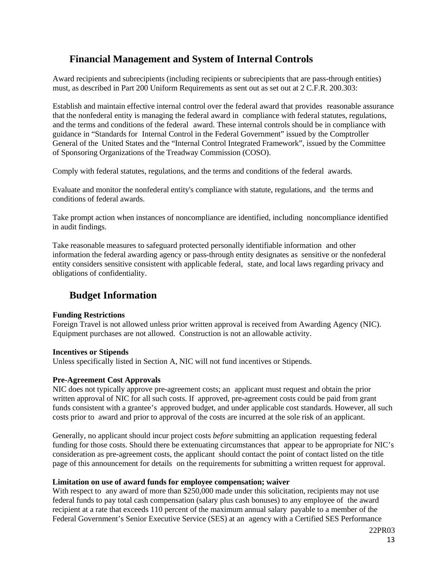# <span id="page-12-0"></span>**Financial Management and System of Internal Controls**

Award recipients and subrecipients (including recipients or subrecipients that are pass-through entities) must, as described in Part 200 Uniform Requirements as sent out as set out at 2 C.F.R. 200.303:

Establish and maintain effective internal control over the federal award that provides reasonable assurance that the nonfederal entity is managing the federal award in compliance with federal statutes, regulations, and the terms and conditions of the federal award. These internal controls should be in compliance with guidance in "Standards for Internal Control in the Federal Government" issued by the Comptroller General of the United States and the "Internal Control Integrated Framework", issued by the Committee of Sponsoring Organizations of the Treadway Commission (COSO).

Comply with federal statutes, regulations, and the terms and conditions of the federal awards.

Evaluate and monitor the nonfederal entity's compliance with statute, regulations, and the terms and conditions of federal awards.

Take prompt action when instances of noncompliance are identified, including noncompliance identified in audit findings.

Take reasonable measures to safeguard protected personally identifiable information and other information the federal awarding agency or pass-through entity designates as sensitive or the nonfederal entity considers sensitive consistent with applicable federal, state, and local laws regarding privacy and obligations of confidentiality.

## <span id="page-12-1"></span>**Budget Information**

#### **Funding Restrictions**

Foreign Travel is not allowed unless prior written approval is received from Awarding Agency (NIC). Equipment purchases are not allowed. Construction is not an allowable activity.

#### **Incentives or Stipends**

Unless specifically listed in Section A, NIC will not fund incentives or Stipends.

#### <span id="page-12-2"></span>**Pre-Agreement Cost Approvals**

NIC does not typically approve pre-agreement costs; an applicant must request and obtain the prior written approval of NIC for all such costs. If approved, pre-agreement costs could be paid from grant funds consistent with a grantee's approved budget, and under applicable cost standards. However, all such costs prior to award and prior to approval of the costs are incurred at the sole risk of an applicant.

Generally, no applicant should incur project costs *before* submitting an application requesting federal funding for those costs. Should there be extenuating circumstances that appear to be appropriate for NIC's consideration as pre-agreement costs, the applicant should contact the point of contact listed on the title page of this announcement for details on the requirements for submitting a written request for approval.

#### <span id="page-12-3"></span>**Limitation on use of award funds for employee compensation; waiver**

With respect to any award of more than \$250,000 made under this solicitation, recipients may not use federal funds to pay total cash compensation (salary plus cash bonuses) to any employee of the award recipient at a rate that exceeds 110 percent of the maximum annual salary payable to a member of the Federal Government's Senior Executive Service (SES) at an agency with a Certified SES Performance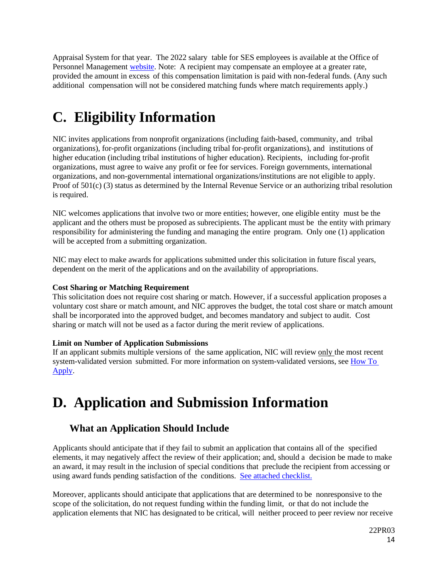Appraisal System for that year. The 2022 salary table for SES employees is available at the Office of Personnel Management [website.](https://www.opm.gov/policy-data-oversight/pay-leave/salaries-wages/#url=2021) Note: A recipient may compensate an employee at a greater rate, provided the amount in excess of this compensation limitation is paid with non-federal funds. (Any such additional compensation will not be considered matching funds where match requirements apply.)

# <span id="page-13-0"></span>**C. Eligibility Information**

NIC invites applications from nonprofit organizations (including faith-based, community, and tribal organizations), for-profit organizations (including tribal for-profit organizations), and institutions of higher education (including tribal institutions of higher education). Recipients, including for-profit organizations, must agree to waive any profit or fee for services. Foreign governments, international organizations, and non-governmental international organizations/institutions are not eligible to apply. Proof of 501(c) (3) status as determined by the Internal Revenue Service or an authorizing tribal resolution is required.

NIC welcomes applications that involve two or more entities; however, one eligible entity must be the applicant and the others must be proposed as subrecipients. The applicant must be the entity with primary responsibility for administering the funding and managing the entire program. Only one (1) application will be accepted from a submitting organization.

NIC may elect to make awards for applications submitted under this solicitation in future fiscal years, dependent on the merit of the applications and on the availability of appropriations.

## <span id="page-13-2"></span>**Cost Sharing or Matching Requirement**

This solicitation does not require cost sharing or match. However, if a successful application proposes a voluntary cost share or match amount, and NIC approves the budget, the total cost share or match amount shall be incorporated into the approved budget, and becomes mandatory and subject to audit. Cost sharing or match will not be used as a factor during the merit review of applications.

## <span id="page-13-3"></span>**Limit on Number of Application Submissions**

If an applicant submits multiple versions of the same application, NIC will review only the most recent system-validated version submitted. For more information on system-validated versions, see [How](#page-23-0) To [Apply.](#page-23-0)

# <span id="page-13-1"></span>**D. Application and Submission Information**

# <span id="page-13-4"></span>**What an Application Should Include**

Applicants should anticipate that if they fail to submit an application that contains all of the specified elements, it may negatively affect the review of their application; and, should a decision be made to make an award, it may result in the inclusion of special conditions that preclude the recipient from accessing or using award funds pending satisfaction of the conditions. [See attached checklist.](#page-34-0)

Moreover, applicants should anticipate that applications that are determined to be nonresponsive to the scope of the solicitation, do not request funding within the funding limit, or that do not include the application elements that NIC has designated to be critical, will neither proceed to peer review nor receive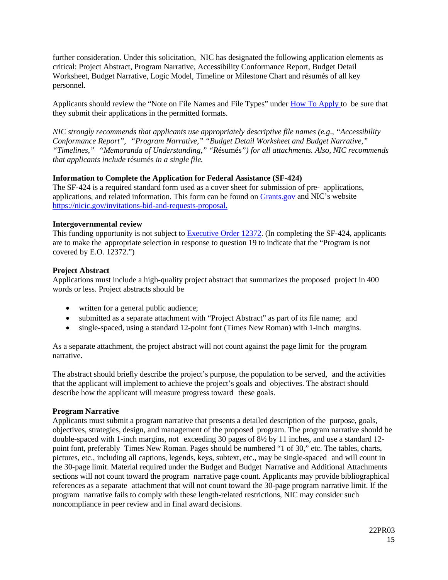further consideration. Under this solicitation, NIC has designated the following application elements as critical: Project Abstract, Program Narrative, Accessibility Conformance Report, Budget Detail Worksheet, Budget Narrative, Logic Model, Timeline or Milestone Chart and résumés of all key personnel.

Applicants should review the "Note on File Names and File Types" under How [To Apply t](#page-23-0)o be sure that they submit their applications in the permitted formats.

*NIC strongly recommends that applicants use appropriately descriptive file names (e.g*.*, "Accessibility Conformance Report", "Program Narrative," "Budget Detail Worksheet and Budget Narrative," "Timelines," "Memoranda of Understanding," "R*ésumés*") for all attachments. Also, NIC recommends that applicants include* résumés *in a single file.*

#### <span id="page-14-0"></span>**Information to Complete the Application for Federal Assistance (SF-424)**

The SF-424 is a required standard form used as a cover sheet for submission of pre- applications, applications, and related information. This form can be found on [Grants.gov](https://www.grants.gov/web/grants/forms/sf-424-family.html) and NIC's website [https://nicic.gov/invitations-bid-and-requests-proposal.](https://nicic.gov/invitations-bid-and-requests-proposal)

## <span id="page-14-1"></span>**Intergovernmental review**

This funding opportunity is not subject to [Executive](http://www.archives.gov/federal-register/codification/executive-order/12372.html) Order 12372. (In completing the SF-424, applicants are to make the appropriate selection in response to question 19 to indicate that the "Program is not covered by E.O. 12372.")

## <span id="page-14-2"></span>**Project Abstract**

Applications must include a high-quality project abstract that summarizes the proposed project in 400 words or less. Project abstracts should be

- written for a general public audience;
- submitted as a separate attachment with "Project Abstract" as part of its file name; and
- single-spaced, using a standard 12-point font (Times New Roman) with 1-inch margins.

As a separate attachment, the project abstract will not count against the page limit for the program narrative.

The abstract should briefly describe the project's purpose, the population to be served, and the activities that the applicant will implement to achieve the project's goals and objectives. The abstract should describe how the applicant will measure progress toward these goals.

#### <span id="page-14-3"></span>**Program Narrative**

Applicants must submit a program narrative that presents a detailed description of the purpose, goals, objectives, strategies, design, and management of the proposed program. The program narrative should be double-spaced with 1-inch margins, not exceeding 30 pages of 8½ by 11 inches, and use a standard 12 point font, preferably Times New Roman. Pages should be numbered "1 of 30," etc. The tables, charts, pictures, etc., including all captions, legends, keys, subtext, etc., may be single-spaced and will count in the 30-page limit. Material required under the Budget and Budget Narrative and Additional Attachments sections will not count toward the program narrative page count. Applicants may provide bibliographical references as a separate attachment that will not count toward the 30-page program narrative limit. If the program narrative fails to comply with these length-related restrictions, NIC may consider such noncompliance in peer review and in final award decisions.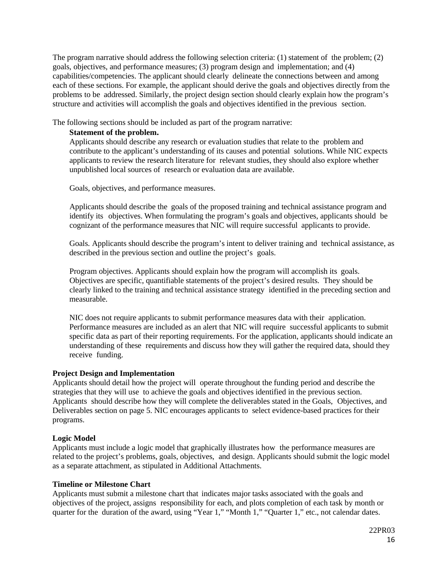The program narrative should address the following selection criteria: (1) statement of the problem; (2) goals, objectives, and performance measures; (3) program design and implementation; and (4) capabilities/competencies. The applicant should clearly delineate the connections between and among each of these sections. For example, the applicant should derive the goals and objectives directly from the problems to be addressed. Similarly, the project design section should clearly explain how the program's structure and activities will accomplish the goals and objectives identified in the previous section.

<span id="page-15-0"></span>The following sections should be included as part of the program narrative:

## **Statement of the problem.**

Applicants should describe any research or evaluation studies that relate to the problem and contribute to the applicant's understanding of its causes and potential solutions. While NIC expects applicants to review the research literature for relevant studies, they should also explore whether unpublished local sources of research or evaluation data are available.

Goals, objectives, and performance measures.

Applicants should describe the goals of the proposed training and technical assistance program and identify its objectives. When formulating the program's goals and objectives, applicants should be cognizant of the performance measures that NIC will require successful applicants to provide.

Goals. Applicants should describe the program's intent to deliver training and technical assistance, as described in the previous section and outline the project's goals.

Program objectives. Applicants should explain how the program will accomplish its goals. Objectives are specific, quantifiable statements of the project's desired results. They should be clearly linked to the training and technical assistance strategy identified in the preceding section and measurable.

NIC does not require applicants to submit performance measures data with their application. Performance measures are included as an alert that NIC will require successful applicants to submit specific data as part of their reporting requirements. For the application, applicants should indicate an understanding of these requirements and discuss how they will gather the required data, should they receive funding.

## <span id="page-15-1"></span>**Project Design and Implementation**

Applicants should detail how the project will operate throughout the funding period and describe the strategies that they will use to achieve the goals and objectives identified in the previous section. Applicants should describe how they will complete the deliverables stated in the Goals, Objectives, and Deliverables section on page 5. NIC encourages applicants to select evidence-based practices for their programs.

## <span id="page-15-2"></span>**Logic Model**

Applicants must include a logic model that graphically illustrates how the performance measures are related to the project's problems, goals, objectives, and design. Applicants should submit the logic model as a separate attachment, as stipulated in Additional Attachments.

## <span id="page-15-3"></span>**Timeline or Milestone Chart**

Applicants must submit a milestone chart that indicates major tasks associated with the goals and objectives of the project, assigns responsibility for each, and plots completion of each task by month or quarter for the duration of the award, using "Year 1," "Month 1," "Quarter 1," etc., not calendar dates.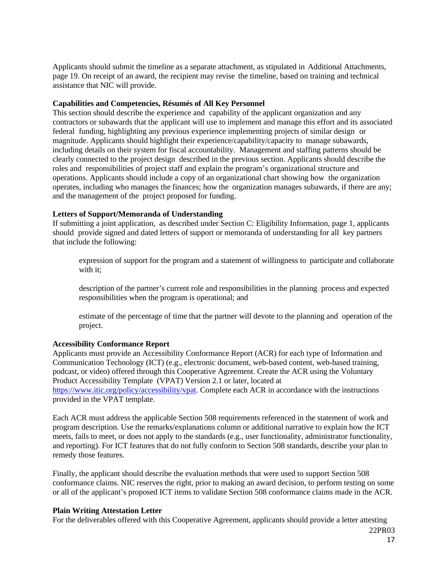Applicants should submit the timeline as a separate attachment, as stipulated in Additional Attachments, page 19. On receipt of an award, the recipient may revise the timeline, based on training and technical assistance that NIC will provide.

#### <span id="page-16-0"></span>**Capabilities and Competencies, Résumés of All Key Personnel**

This section should describe the experience and capability of the applicant organization and any contractors or subawards that the applicant will use to implement and manage this effort and its associated federal funding, highlighting any previous experience implementing projects of similar design or magnitude. Applicants should highlight their experience/capability/capacity to manage subawards, including details on their system for fiscal accountability. Management and staffing patterns should be clearly connected to the project design described in the previous section. Applicants should describe the roles and responsibilities of project staff and explain the program's organizational structure and operations. Applicants should include a copy of an organizational chart showing how the organization operates, including who manages the finances; how the organization manages subawards, if there are any; and the management of the project proposed for funding.

#### <span id="page-16-1"></span>**Letters of Support/Memoranda of Understanding**

If submitting a joint application, as described under Section C: Eligibility Information, page 1, applicants should provide signed and dated letters of support or memoranda of understanding for all key partners that include the following:

expression of support for the program and a statement of willingness to participate and collaborate with it:

description of the partner's current role and responsibilities in the planning process and expected responsibilities when the program is operational; and

estimate of the percentage of time that the partner will devote to the planning and operation of the project.

#### **Accessibility Conformance Report**

Applicants must provide an Accessibility Conformance Report (ACR) for each type of Information and Communication Technology (ICT) (e.g., electronic document, web-based content, web-based training, podcast, or video) offered through this Cooperative Agreement. Create the ACR using the Voluntary Product Accessibility Template (VPAT) Version 2.1 or later, located at [https://www.itic.org/policy/accessibility/vpat.](https://www.itic.org/policy/accessibility/vpat) Complete each ACR in accordance with the instructions provided in the VPAT template.

Each ACR must address the applicable Section 508 requirements referenced in the statement of work and program description. Use the remarks/explanations column or additional narrative to explain how the ICT meets, fails to meet, or does not apply to the standards (e.g., user functionality, administrator functionality, and reporting). For ICT features that do not fully conform to Section 508 standards, describe your plan to remedy those features.

Finally, the applicant should describe the evaluation methods that were used to support Section 508 conformance claims. NIC reserves the right, prior to making an award decision, to perform testing on some or all of the applicant's proposed ICT items to validate Section 508 conformance claims made in the ACR.

#### **Plain Writing Attestation Letter**

For the deliverables offered with this Cooperative Agreement, applicants should provide a letter attesting

22PR03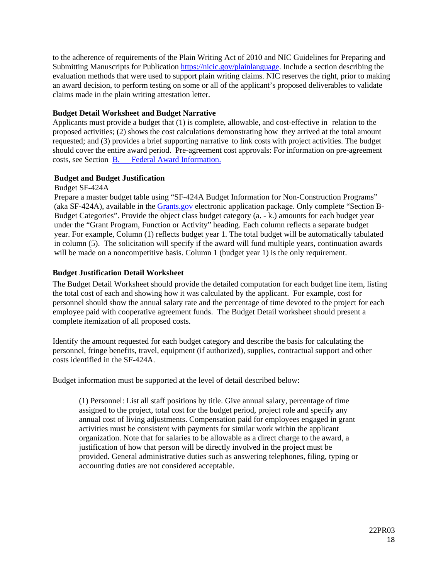to the adherence of requirements of the Plain Writing Act of 2010 and NIC Guidelines for Preparing and Submitting Manuscripts for Publication [https://nicic.gov/plainlanguage.](https://nicic.gov/plainlanguage) Include a section describing the evaluation methods that were used to support plain writing claims. NIC reserves the right, prior to making an award decision, to perform testing on some or all of the applicant's proposed deliverables to validate claims made in the plain writing attestation letter.

### <span id="page-17-0"></span>**Budget Detail Worksheet and Budget Narrative**

Applicants must provide a budget that (1) is complete, allowable, and cost-effective in relation to the proposed activities; (2) shows the cost calculations demonstrating how they arrived at the total amount requested; and (3) provides a brief supporting narrative to link costs with project activities. The budget should cover the entire award period. Pre-agreement cost approvals: For information on pre-agreement costs, see Section [B. Federal Award Information.](#page-10-0)

## **Budget and Budget Justification**

Budget SF-424A

Prepare a master budget table using "SF-424A Budget Information for Non-Construction Programs" (aka SF-424A), available in the [Grants.gov](https://www.grants.gov/) electronic application package. Only complete "Section B-Budget Categories". Provide the object class budget category (a. - k.) amounts for each budget year under the "Grant Program, Function or Activity" heading. Each column reflects a separate budget year. For example, Column (1) reflects budget year 1. The total budget will be automatically tabulated in column (5). The solicitation will specify if the award will fund multiple years, continuation awards will be made on a noncompetitive basis. Column 1 (budget year 1) is the only requirement.

## **Budget Justification Detail Worksheet**

The Budget Detail Worksheet should provide the detailed computation for each budget line item, listing the total cost of each and showing how it was calculated by the applicant. For example, cost for personnel should show the annual salary rate and the percentage of time devoted to the project for each employee paid with cooperative agreement funds. The Budget Detail worksheet should present a complete itemization of all proposed costs.

Identify the amount requested for each budget category and describe the basis for calculating the personnel, fringe benefits, travel, equipment (if authorized), supplies, contractual support and other costs identified in the SF-424A.

Budget information must be supported at the level of detail described below:

(1) Personnel: List all staff positions by title. Give annual salary, percentage of time assigned to the project, total cost for the budget period, project role and specify any annual cost of living adjustments. Compensation paid for employees engaged in grant activities must be consistent with payments for similar work within the applicant organization. Note that for salaries to be allowable as a direct charge to the award, a justification of how that person will be directly involved in the project must be provided. General administrative duties such as answering telephones, filing, typing or accounting duties are not considered acceptable.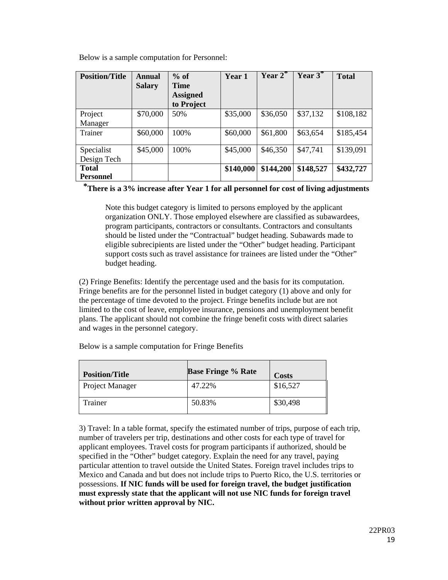Below is a sample computation for Personnel:

| <b>Position/Title</b> | <b>Annual</b> | $%$ of          | Year 1    | $\overline{\text{Year 2}}^*$ | Year $3^*$ | <b>Total</b> |
|-----------------------|---------------|-----------------|-----------|------------------------------|------------|--------------|
|                       | <b>Salary</b> | <b>Time</b>     |           |                              |            |              |
|                       |               | <b>Assigned</b> |           |                              |            |              |
|                       |               | to Project      |           |                              |            |              |
| Project               | \$70,000      | 50%             | \$35,000  | \$36,050                     | \$37,132   | \$108,182    |
| Manager               |               |                 |           |                              |            |              |
| Trainer               | \$60,000      | 100%            | \$60,000  | \$61,800                     | \$63,654   | \$185,454    |
|                       |               |                 |           |                              |            |              |
| Specialist            | \$45,000      | 100%            | \$45,000  | \$46,350                     | \$47,741   | \$139,091    |
| Design Tech           |               |                 |           |                              |            |              |
| <b>Total</b>          |               |                 | \$140,000 | \$144,200                    | \$148,527  | \$432,727    |
| <b>Personnel</b>      |               |                 |           |                              |            |              |

**\*There is a 3% increase after Year 1 for all personnel for cost of living adjustments**

Note this budget category is limited to persons employed by the applicant organization ONLY. Those employed elsewhere are classified as subawardees, program participants, contractors or consultants. Contractors and consultants should be listed under the "Contractual" budget heading. Subawards made to eligible subrecipients are listed under the "Other" budget heading. Participant support costs such as travel assistance for trainees are listed under the "Other" budget heading.

(2) Fringe Benefits: Identify the percentage used and the basis for its computation. Fringe benefits are for the personnel listed in budget category (1) above and only for the percentage of time devoted to the project. Fringe benefits include but are not limited to the cost of leave, employee insurance, pensions and unemployment benefit plans. The applicant should not combine the fringe benefit costs with direct salaries and wages in the personnel category.

| <b>Position/Title</b> | <b>Base Fringe % Rate</b> | <b>Costs</b> |
|-----------------------|---------------------------|--------------|
| Project Manager       | 47.22%                    | \$16,527     |
| Trainer               | 50.83%                    | \$30,498     |

Below is a sample computation for Fringe Benefits

3) Travel: In a table format, specify the estimated number of trips, purpose of each trip, number of travelers per trip, destinations and other costs for each type of travel for applicant employees. Travel costs for program participants if authorized, should be specified in the "Other" budget category. Explain the need for any travel, paying particular attention to travel outside the United States. Foreign travel includes trips to Mexico and Canada and but does not include trips to Puerto Rico, the U.S. territories or possessions. **If NIC funds will be used for foreign travel, the budget justification must expressly state that the applicant will not use NIC funds for foreign travel without prior written approval by NIC.**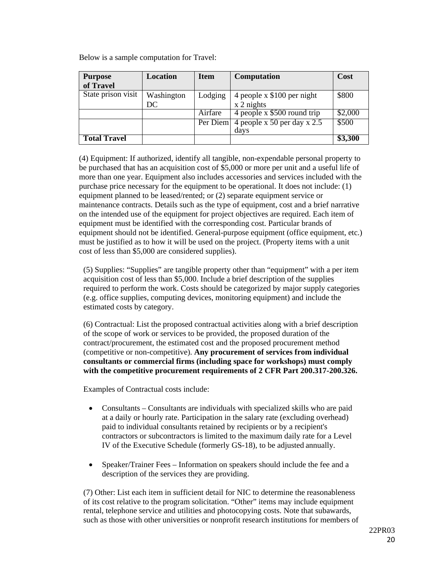| <b>Purpose</b><br>of Travel | Location         | <b>Item</b> | <b>Computation</b>                          | Cost    |
|-----------------------------|------------------|-------------|---------------------------------------------|---------|
| State prison visit          | Washington<br>DC | Lodging     | 4 people $x$ \$100 per night<br>$x2$ nights | \$800   |
|                             |                  | Airfare     | 4 people x \$500 round trip                 | \$2,000 |
|                             |                  | Per Diem    | 4 people x 50 per day x $2.5$<br>days       | \$500   |
| <b>Total Travel</b>         |                  |             |                                             | \$3,300 |

Below is a sample computation for Travel:

(4) Equipment: If authorized, identify all tangible, non-expendable personal property to be purchased that has an acquisition cost of \$5,000 or more per unit and a useful life of more than one year. Equipment also includes accessories and services included with the purchase price necessary for the equipment to be operational. It does not include: (1) equipment planned to be leased/rented; or (2) separate equipment service or maintenance contracts. Details such as the type of equipment, cost and a brief narrative on the intended use of the equipment for project objectives are required. Each item of equipment must be identified with the corresponding cost. Particular brands of equipment should not be identified. General-purpose equipment (office equipment, etc.) must be justified as to how it will be used on the project. (Property items with a unit cost of less than \$5,000 are considered supplies).

(5) Supplies: "Supplies" are tangible property other than "equipment" with a per item acquisition cost of less than \$5,000. Include a brief description of the supplies required to perform the work. Costs should be categorized by major supply categories (e.g. office supplies, computing devices, monitoring equipment) and include the estimated costs by category.

(6) Contractual: List the proposed contractual activities along with a brief description of the scope of work or services to be provided, the proposed duration of the contract/procurement, the estimated cost and the proposed procurement method (competitive or non-competitive). **Any procurement of services from individual consultants or commercial firms (including space for workshops) must comply with the competitive procurement requirements of 2 CFR Part 200.317-200.326.** 

Examples of Contractual costs include:

- Consultants Consultants are individuals with specialized skills who are paid at a daily or hourly rate. Participation in the salary rate (excluding overhead) paid to individual consultants retained by recipients or by a recipient's contractors or subcontractors is limited to the maximum daily rate for a Level IV of the Executive Schedule (formerly GS-18), to be adjusted annually.
- Speaker/Trainer Fees Information on speakers should include the fee and a description of the services they are providing.

(7) Other: List each item in sufficient detail for NIC to determine the reasonableness of its cost relative to the program solicitation. "Other" items may include equipment rental, telephone service and utilities and photocopying costs. Note that subawards, such as those with other universities or nonprofit research institutions for members of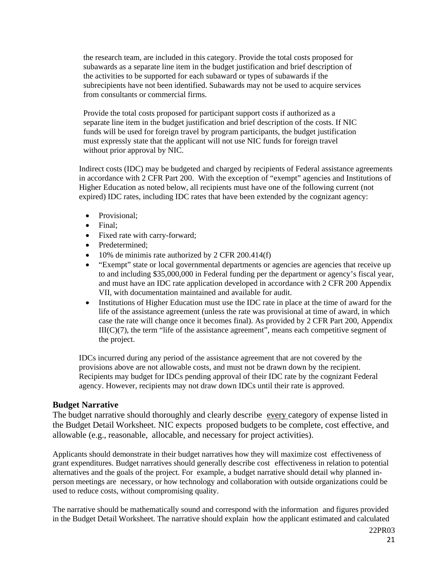the research team, are included in this category. Provide the total costs proposed for subawards as a separate line item in the budget justification and brief description of the activities to be supported for each subaward or types of subawards if the subrecipients have not been identified. Subawards may not be used to acquire services from consultants or commercial firms.

Provide the total costs proposed for participant support costs if authorized as a separate line item in the budget justification and brief description of the costs. If NIC funds will be used for foreign travel by program participants, the budget justification must expressly state that the applicant will not use NIC funds for foreign travel without prior approval by NIC.

Indirect costs (IDC) may be budgeted and charged by recipients of Federal assistance agreements in accordance with 2 CFR Part 200. With the exception of "exempt" agencies and Institutions of Higher Education as noted below, all recipients must have one of the following current (not expired) IDC rates, including IDC rates that have been extended by the cognizant agency:

- Provisional;
- Final;
- Fixed rate with carry-forward;
- Predetermined:
- 10% de minimis rate authorized by 2 CFR 200.414(f)
- "Exempt" state or local governmental departments or agencies are agencies that receive up to and including \$35,000,000 in Federal funding per the department or agency's fiscal year, and must have an IDC rate application developed in accordance with 2 CFR 200 Appendix VII, with documentation maintained and available for audit.
- Institutions of Higher Education must use the IDC rate in place at the time of award for the life of the assistance agreement (unless the rate was provisional at time of award, in which case the rate will change once it becomes final). As provided by 2 CFR Part 200, Appendix  $III(C)(7)$ , the term "life of the assistance agreement", means each competitive segment of the project.

IDCs incurred during any period of the assistance agreement that are not covered by the provisions above are not allowable costs, and must not be drawn down by the recipient. Recipients may budget for IDCs pending approval of their IDC rate by the cognizant Federal agency. However, recipients may not draw down IDCs until their rate is approved.

## <span id="page-20-0"></span>**Budget Narrative**

The budget narrative should thoroughly and clearly describe every category of expense listed in the Budget Detail Worksheet. NIC expects proposed budgets to be complete, cost effective, and allowable (e.g., reasonable, allocable, and necessary for project activities).

Applicants should demonstrate in their budget narratives how they will maximize cost effectiveness of grant expenditures. Budget narratives should generally describe cost effectiveness in relation to potential alternatives and the goals of the project. For example, a budget narrative should detail why planned inperson meetings are necessary, or how technology and collaboration with outside organizations could be used to reduce costs, without compromising quality.

The narrative should be mathematically sound and correspond with the information and figures provided in the Budget Detail Worksheet. The narrative should explain how the applicant estimated and calculated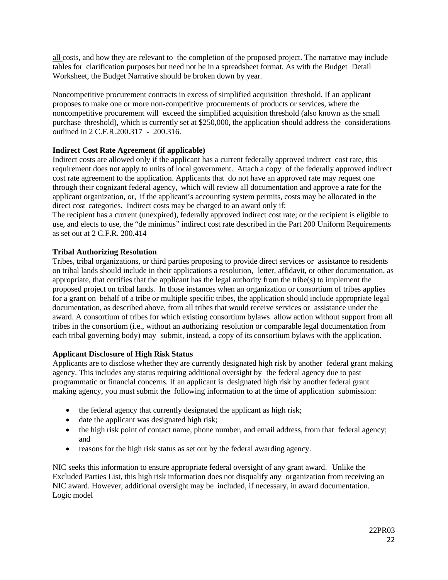all costs, and how they are relevant to the completion of the proposed project. The narrative may include tables for clarification purposes but need not be in a spreadsheet format. As with the Budget Detail Worksheet, the Budget Narrative should be broken down by year.

Noncompetitive procurement contracts in excess of simplified acquisition threshold. If an applicant proposes to make one or more non-competitive procurements of products or services, where the noncompetitive procurement will exceed the simplified acquisition threshold (also known as the small purchase threshold), which is currently set at \$250,000, the application should address the considerations outlined in 2 C.F.R.200.317 - 200.316.

## <span id="page-21-0"></span>**Indirect Cost Rate Agreement (if applicable)**

Indirect costs are allowed only if the applicant has a current federally approved indirect cost rate, this requirement does not apply to units of local government. Attach a copy of the federally approved indirect cost rate agreement to the application. Applicants that do not have an approved rate may request one through their cognizant federal agency, which will review all documentation and approve a rate for the applicant organization, or, if the applicant's accounting system permits, costs may be allocated in the direct cost categories. Indirect costs may be charged to an award only if:

The recipient has a current (unexpired), federally approved indirect cost rate; or the recipient is eligible to use, and elects to use, the "de minimus" indirect cost rate described in the Part 200 Uniform Requirements as set out at 2 C.F.R. 200.414

## <span id="page-21-1"></span>**Tribal Authorizing Resolution**

Tribes, tribal organizations, or third parties proposing to provide direct services or assistance to residents on tribal lands should include in their applications a resolution, letter, affidavit, or other documentation, as appropriate, that certifies that the applicant has the legal authority from the tribe(s) to implement the proposed project on tribal lands. In those instances when an organization or consortium of tribes applies for a grant on behalf of a tribe or multiple specific tribes, the application should include appropriate legal documentation, as described above, from all tribes that would receive services or assistance under the award. A consortium of tribes for which existing consortium bylaws allow action without support from all tribes in the consortium (i.e., without an authorizing resolution or comparable legal documentation from each tribal governing body) may submit, instead, a copy of its consortium bylaws with the application.

## <span id="page-21-2"></span>**Applicant Disclosure of High Risk Status**

Applicants are to disclose whether they are currently designated high risk by another federal grant making agency. This includes any status requiring additional oversight by the federal agency due to past programmatic or financial concerns. If an applicant is designated high risk by another federal grant making agency, you must submit the following information to at the time of application submission:

- the federal agency that currently designated the applicant as high risk;
- date the applicant was designated high risk;
- the high risk point of contact name, phone number, and email address, from that federal agency; and
- reasons for the high risk status as set out by the federal awarding agency.

NIC seeks this information to ensure appropriate federal oversight of any grant award. Unlike the Excluded Parties List, this high risk information does not disqualify any organization from receiving an NIC award. However, additional oversight may be included, if necessary, in award documentation. Logic model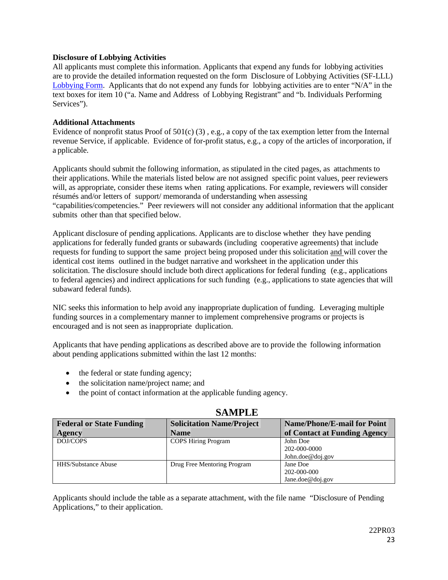## <span id="page-22-0"></span>**Disclosure of Lobbying Activities**

All applicants must complete this information. Applicants that expend any funds for lobbying activities are to provide the detailed information requested on the form Disclosure of Lobbying Activities (SF-LLL) [Lobbying Form.](https://www.grants.gov/documents/19/217976/SFLLL_2_0-V2.0.pdf/ad05c401-3c9c-47d0-afec-7ee26491c878?version=1.0&t=1516738837999) Applicants that do not expend any funds for lobbying activities are to enter "N/A" in the text boxes for item 10 ("a. Name and Address of Lobbying Registrant" and "b. Individuals Performing Services").

### <span id="page-22-1"></span>**Additional Attachments**

Evidence of nonprofit status Proof of  $501(c)$  (3), e.g., a copy of the tax exemption letter from the Internal revenue Service, if applicable. Evidence of for-profit status, e.g., a copy of the articles of incorporation, if a pplicable.

Applicants should submit the following information, as stipulated in the cited pages, as attachments to their applications. While the materials listed below are not assigned specific point values, peer reviewers will, as appropriate, consider these items when rating applications. For example, reviewers will consider résumés and/or letters of support/ memoranda of understanding when assessing "capabilities/competencies." Peer reviewers will not consider any additional information that the applicant submits other than that specified below.

Applicant disclosure of pending applications. Applicants are to disclose whether they have pending applications for federally funded grants or subawards (including cooperative agreements) that include requests for funding to support the same project being proposed under this solicitation and will cover the identical cost items outlined in the budget narrative and worksheet in the application under this solicitation. The disclosure should include both direct applications for federal funding (e.g., applications to federal agencies) and indirect applications for such funding (e.g., applications to state agencies that will subaward federal funds).

NIC seeks this information to help avoid any inappropriate duplication of funding. Leveraging multiple funding sources in a complementary manner to implement comprehensive programs or projects is encouraged and is not seen as inappropriate duplication.

Applicants that have pending applications as described above are to provide the following information about pending applications submitted within the last 12 months:

- the federal or state funding agency;
- the solicitation name/project name; and
- the point of contact information at the applicable funding agency.

| <b>Federal or State Funding</b> | <b>Solicitation Name/Project</b> | <b>Name/Phone/E-mail for Point</b> |  |  |
|---------------------------------|----------------------------------|------------------------------------|--|--|
| <b>Agency</b>                   | <b>Name</b>                      | of Contact at Funding Agency       |  |  |
| DOJ/COPS                        | <b>COPS Hiring Program</b>       | John Doe                           |  |  |
|                                 |                                  | 202-000-0000                       |  |  |
|                                 |                                  | John.doe@doj.gov                   |  |  |
| <b>HHS/Substance Abuse</b>      | Drug Free Mentoring Program      | Jane Doe                           |  |  |
|                                 |                                  | 202-000-000                        |  |  |
|                                 |                                  | Jane.doe@doj.gov                   |  |  |

## **SAMPLE**

Applicants should include the table as a separate attachment, with the file name "Disclosure of Pending Applications," to their application.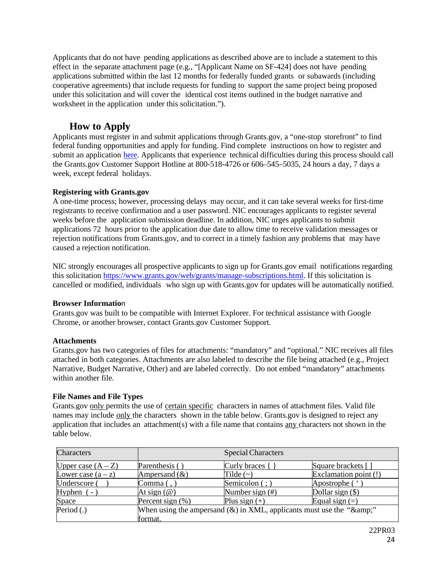Applicants that do not have pending applications as described above are to include a statement to this effect in the separate attachment page (e.g., "[Applicant Name on SF-424] does not have pending applications submitted within the last 12 months for federally funded grants or subawards (including cooperative agreements) that include requests for funding to support the same project being proposed under this solicitation and will cover the identical cost items outlined in the budget narrative and worksheet in the application under this solicitation.").

## **How to Apply**

<span id="page-23-0"></span>Applicants must register in and submit applications through Grants.gov, a "one-stop storefront" to find federal funding opportunities and apply for funding. Find complete instructions on how to register and submit an application [here.](https://www.grants.gov/web/grants/applicants/apply-for-grants.html) Applicants that experience technical difficulties during this process should call the Grants.gov Customer Support Hotline at 800-518-4726 or 606–545–5035, 24 hours a day, 7 days a week, except federal holidays.

## <span id="page-23-1"></span>**Registering with Grants.gov**

A one-time process; however, processing delays may occur, and it can take several weeks for first-time registrants to receive confirmation and a user password. NIC encourages applicants to register several weeks before the application submission deadline. In addition, NIC urges applicants to submit applications 72 hours prior to the application due date to allow time to receive validation messages or rejection notifications from Grants.gov, and to correct in a timely fashion any problems that may have caused a rejection notification.

NIC strongly encourages all prospective applicants to sign up for Grants.gov email notifications regarding this solicitation [https://www.grants.gov/web/grants/manage-subscriptions.html.](https://www.grants.gov/web/grants/manage-subscriptions.html) If this solicitation is cancelled or modified, individuals who sign up with Grants.gov for updates will be automatically notified.

## <span id="page-23-2"></span>**Browser Informatio**n

Grants.gov was built to be compatible with Internet Explorer. For technical assistance with Google Chrome, or another browser, contact Grants.gov Customer Support.

## <span id="page-23-3"></span>**Attachments**

Grants.gov has two categories of files for attachments: "mandatory" and "optional." NIC receives all files attached in both categories. Attachments are also labeled to describe the file being attached (e.g., Project Narrative, Budget Narrative, Other) and are labeled correctly. Do not embed "mandatory" attachments within another file.

## <span id="page-23-4"></span>**File Names and File Types**

Grants.gov only permits the use of certain specific characters in names of attachment files. Valid file names may include only the characters shown in the table below. Grants.gov is designed to reject any application that includes an attachment(s) with a file name that contains any characters not shown in the table below.

| Characters           | <b>Special Characters</b>                                                    |                     |                       |  |
|----------------------|------------------------------------------------------------------------------|---------------------|-----------------------|--|
| Upper case $(A - Z)$ | Parenthesis ()                                                               | Curly braces {      | Square brackets []    |  |
| Lower case $(a - z)$ | Ampersand $(\&)$                                                             | Tilde $(\sim)$      | Exclamation point (!) |  |
| Underscore (         | $\text{Comma}($ ,                                                            | Semicolon $($ ; $)$ | Apostrophe ( '        |  |
| Hyphen $(-)$         | At sign $(\omega)$                                                           | Number sign $(\#)$  | Dollar sign $(\$)$    |  |
| Space                | Percent sign $(\%)$                                                          | Plus sign $(+)$     | Equal sign $(=)$      |  |
| Period $(.)$         | When using the ampersand $(\&)$ in XML, applicants must use the " $\&$ amp;" |                     |                       |  |
|                      | format.                                                                      |                     |                       |  |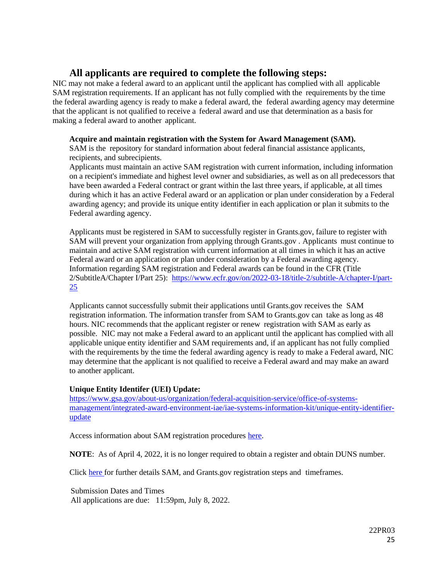## <span id="page-24-0"></span>**All applicants are required to complete the following steps:**

NIC may not make a federal award to an applicant until the applicant has complied with all applicable SAM registration requirements. If an applicant has not fully complied with the requirements by the time the federal awarding agency is ready to make a federal award, the federal awarding agency may determine that the applicant is not qualified to receive a federal award and use that determination as a basis for making a federal award to another applicant.

## <span id="page-24-1"></span>**Acquire and maintain registration with the System for Award Management (SAM).**

SAM is the repository for standard information about federal financial assistance applicants, recipients, and subrecipients.

Applicants must maintain an active SAM registration with current information, including information on a recipient's immediate and highest level owner and subsidiaries, as well as on all predecessors that have been awarded a Federal contract or grant within the last three years, if applicable, at all times during which it has an active Federal award or an application or plan under consideration by a Federal awarding agency; and provide its unique entity identifier in each application or plan it submits to the Federal awarding agency.

Applicants must be registered in SAM to successfully register in Grants.gov, failure to register with SAM will prevent your organization from applying through Grants.gov . Applicants must continue to maintain and active SAM registration with current information at all times in which it has an active Federal award or an application or plan under consideration by a Federal awarding agency. Information regarding SAM registration and Federal awards can be found in the CFR (Title 2/SubtitleA/Chapter I/Part 25): [https://www.ecfr.gov/on/2022-03-18/title-2/subtitle-A/chapter-I/part-](https://www.ecfr.gov/on/2022-03-18/title-2/subtitle-A/chapter-I/part-25)[25](https://www.ecfr.gov/on/2022-03-18/title-2/subtitle-A/chapter-I/part-25)

Applicants cannot successfully submit their applications until Grants.gov receives the SAM registration information. The information transfer from SAM to Grants.gov can take as long as 48 hours. NIC recommends that the applicant register or renew registration with SAM as early as possible. NIC may not make a Federal award to an applicant until the applicant has complied with all applicable unique entity identifier and SAM requirements and, if an applicant has not fully complied with the requirements by the time the federal awarding agency is ready to make a Federal award, NIC may determine that the applicant is not qualified to receive a Federal award and may make an award to another applicant.

## **Unique Entity Identifer (UEI) Update:**

[https://www.gsa.gov/about-us/organization/federal-acquisition-service/office-of-systems](https://www.gsa.gov/about-us/organization/federal-acquisition-service/office-of-systems-management/integrated-award-environment-iae/iae-systems-information-kit/unique-entity-identifier-update)[management/integrated-award-environment-iae/iae-systems-information-kit/unique-entity-identifier](https://www.gsa.gov/about-us/organization/federal-acquisition-service/office-of-systems-management/integrated-award-environment-iae/iae-systems-information-kit/unique-entity-identifier-update)[update](https://www.gsa.gov/about-us/organization/federal-acquisition-service/office-of-systems-management/integrated-award-environment-iae/iae-systems-information-kit/unique-entity-identifier-update)

Access information about SAM registration procedures [here.](https://sam.gov/content/home)

**NOTE**: As of April 4, 2022, it is no longer required to obtain a register and obtain DUNS number.

Click [here](http://www.grants.gov/web/grants/applicants/organization-registration.html) for further details SAM, and Grants.gov registration steps and timeframes.

 Submission Dates and Times All applications are due: 11:59pm, July 8, 2022.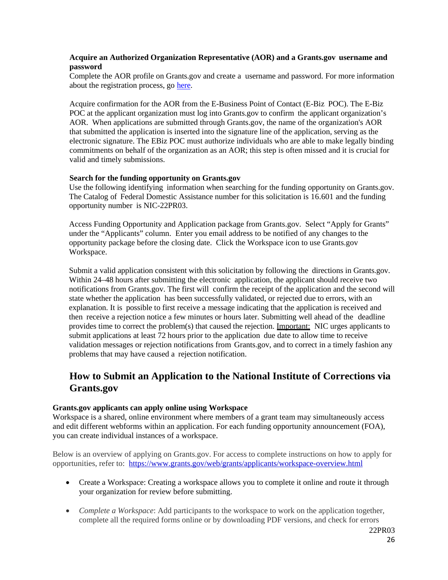### <span id="page-25-0"></span>**Acquire an Authorized Organization Representative (AOR) and a Grants.gov username and password**

Complete the AOR profile on Grants.gov and create a username and password. For more information about the registration process, go [here.](http://www.grants.gov/web/grants/register.html)

Acquire confirmation for the AOR from the E-Business Point of Contact (E-Biz POC). The E-Biz POC at the applicant organization must log into Grants.gov to confirm the applicant organization's AOR. When applications are submitted through Grants.gov, the name of the organization's AOR that submitted the application is inserted into the signature line of the application, serving as the electronic signature. The EBiz POC must authorize individuals who are able to make legally binding commitments on behalf of the organization as an AOR; this step is often missed and it is crucial for valid and timely submissions.

#### <span id="page-25-1"></span>**Search for the funding opportunity on Grants.gov**

Use the following identifying information when searching for the funding opportunity on Grants.gov. The Catalog of Federal Domestic Assistance number for this solicitation is 16.601 and the funding opportunity number is NIC-22PR03.

Access Funding Opportunity and Application package from Grants.gov. Select "Apply for Grants" under the "Applicants" column. Enter you email address to be notified of any changes to the opportunity package before the closing date. Click the Workspace icon to use Grants.gov Workspace.

Submit a valid application consistent with this solicitation by following the directions in Grants.gov. Within 24–48 hours after submitting the electronic application, the applicant should receive two notifications from Grants.gov. The first will confirm the receipt of the application and the second will state whether the application has been successfully validated, or rejected due to errors, with an explanation. It is possible to first receive a message indicating that the application is received and then receive a rejection notice a few minutes or hours later. Submitting well ahead of the deadline provides time to correct the problem(s) that caused the rejection. Important: NIC urges applicants to submit applications at least 72 hours prior to the application due date to allow time to receive validation messages or rejection notifications from Grants.gov, and to correct in a timely fashion any problems that may have caused a rejection notification.

# <span id="page-25-2"></span>**How to Submit an Application to the National Institute of Corrections via Grants.gov**

#### <span id="page-25-3"></span>**Grants.gov applicants can apply online using Workspace**

Workspace is a shared, online environment where members of a grant team may simultaneously access and edit different webforms within an application. For each funding opportunity announcement (FOA), you can create individual instances of a workspace.

Below is an overview of applying on Grants.gov. For access to complete instructions on how to apply for opportunities, refer to: <https://www.grants.gov/web/grants/applicants/workspace-overview.html>

- Create a Workspace: Creating a workspace allows you to complete it online and route it through your organization for review before submitting.
- *Complete a Workspace*: Add participants to the workspace to work on the application together, complete all the required forms online or by downloading PDF versions, and check for errors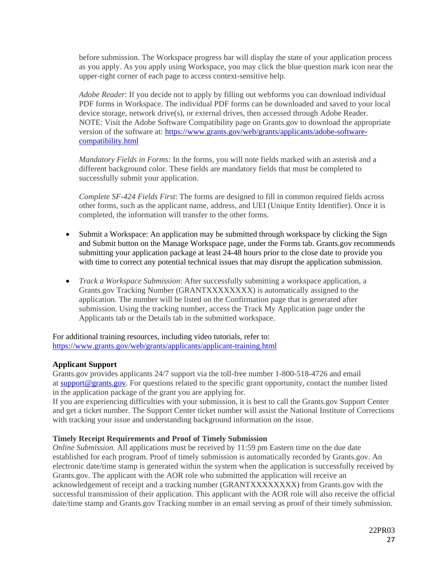before submission. The Workspace progress bar will display the state of your application process as you apply. As you apply using Workspace, you may click the blue question mark icon near the upper-right corner of each page to access context-sensitive help.

*Adobe Reader*: If you decide not to apply by filling out webforms you can download individual PDF forms in Workspace. The individual PDF forms can be downloaded and saved to your local device storage, network drive(s), or external drives, then accessed through Adobe Reader. NOTE: Visit the Adobe Software Compatibility page on Grants.gov to download the appropriate version of the software at: [https://www.grants.gov/web/grants/applicants/adobe-software](https://www.grants.gov/web/grants/applicants/adobe-software-compatibility.html)[compatibility.html](https://www.grants.gov/web/grants/applicants/adobe-software-compatibility.html)

*Mandatory Fields in Forms:* In the forms, you will note fields marked with an asterisk and a different background color. These fields are mandatory fields that must be completed to successfully submit your application.

*Complete SF-424 Fields First*: The forms are designed to fill in common required fields across other forms, such as the applicant name, address, and UEI (Unique Entity Identifier). Once it is completed, the information will transfer to the other forms.

- Submit a Workspace: An application may be submitted through workspace by clicking the Sign and Submit button on the Manage Workspace page, under the Forms tab. Grants.gov recommends submitting your application package at least 24-48 hours prior to the close date to provide you with time to correct any potential technical issues that may disrupt the application submission.
- *Track a Workspace Submission*: After successfully submitting a workspace application, a Grants.gov Tracking Number (GRANTXXXXXXXX) is automatically assigned to the application. The number will be listed on the Confirmation page that is generated after submission. Using the tracking number, access the Track My Application page under the Applicants tab or the Details tab in the submitted workspace.

For additional training resources, including video tutorials, refer to: <https://www.grants.gov/web/grants/applicants/applicant-training.html>

## <span id="page-26-0"></span>**Applicant Support**

Grants.gov provides applicants 24/7 support via the toll-free number 1-800-518-4726 and email at [support@grants.gov.](mailto:support@grants.gov) For questions related to the specific grant opportunity, contact the number listed in the application package of the grant you are applying for.

If you are experiencing difficulties with your submission, it is best to call the Grants.gov Support Center and get a ticket number. The Support Center ticket number will assist the National Institute of Corrections with tracking your issue and understanding background information on the issue.

#### <span id="page-26-1"></span>**Timely Receipt Requirements and Proof of Timely Submission**

*Online Submission.* All applications must be received by 11:59 pm Eastern time on the due date established for each program. Proof of timely submission is automatically recorded by Grants.gov. An electronic date/time stamp is generated within the system when the application is successfully received by Grants.gov. The applicant with the AOR role who submitted the application will receive an acknowledgement of receipt and a tracking number (GRANTXXXXXXXX) from Grants.gov with the successful transmission of their application. This applicant with the AOR role will also receive the official date/time stamp and Grants.gov Tracking number in an email serving as proof of their timely submission.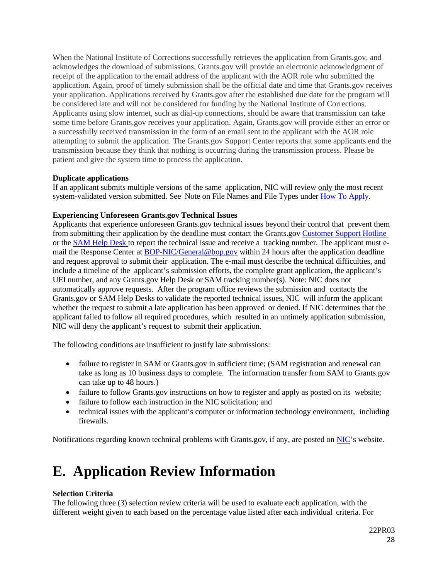When the National Institute of Corrections successfully retrieves the application from Grants.gov, and acknowledges the download of submissions, Grants.gov will provide an electronic acknowledgment of receipt of the application to the email address of the applicant with the AOR role who submitted the application. Again, proof of timely submission shall be the official date and time that Grants.gov receives your application. Applications received by Grants.gov after the established due date for the program will be considered late and will not be considered for funding by the National Institute of Corrections. Applicants using slow internet, such as dial-up connections, should be aware that transmission can take some time before Grants.gov receives your application. Again, Grants.gov will provide either an error or a successfully received transmission in the form of an email sent to the applicant with the AOR role attempting to submit the application. The Grants.gov Support Center reports that some applicants end the transmission because they think that nothing is occurring during the transmission process. Please be patient and give the system time to process the application.

## <span id="page-27-0"></span>**Duplicate applications**

If an applicant submits multiple versions of the same application, NIC will review only the most recent system-validated version submitted. See Note on File Names and File Types under How To [Apply.](#page-23-0)

## <span id="page-27-1"></span>**Experiencing Unforeseen Grants.gov Technical Issues**

Applicants that experience unforeseen Grants.gov technical issues beyond their control that prevent them from submitting their application by the deadline must contact the Grants.gov Customer [Support Hotline](https://www.grants.gov/web/grants/support.html) or the [SAM](https://sam.gov/content/help) Help Desk to report the technical issue and receive a tracking number. The applicant must email the Response Center at **[BOP-NIC/General@bop.gov](mailto:BOP-NIC/General@bop.gov)** within 24 hours after the application deadline and request approval to submit their application. The e-mail must describe the technical difficulties, and include a timeline of the applicant's submission efforts, the complete grant application, the applicant's UEI number, and any Grants.gov Help Desk or SAM tracking number(s). Note: NIC does not automatically approve requests. After the program office reviews the submission and contacts the Grants.gov or SAM Help Desks to validate the reported technical issues, NIC will inform the applicant whether the request to submit a late application has been approved or denied. If NIC determines that the applicant failed to follow all required procedures, which resulted in an untimely application submission, NIC will deny the applicant's request to submit their application.

The following conditions are insufficient to justify late submissions:

- failure to register in SAM or Grants.gov in sufficient time; (SAM registration and renewal can take as long as 10 business days to complete. The information transfer from SAM to Grants.gov can take up to 48 hours.)
- failure to follow Grants.gov instructions on how to register and apply as posted on its website;
- failure to follow each instruction in the NIC solicitation; and
- technical issues with the applicant's computer or information technology environment, including firewalls.

Notifications regarding known technical problems with Grants.gov, if any, are posted on [NIC'](https://www.nicic.gov/)s website.

# <span id="page-27-2"></span>**E. Application Review Information**

## <span id="page-27-3"></span>**Selection Criteria**

The following three (3) selection review criteria will be used to evaluate each application, with the different weight given to each based on the percentage value listed after each individual criteria. For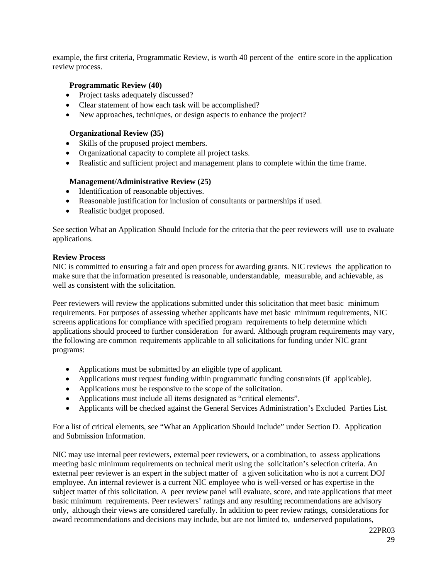example, the first criteria, Programmatic Review, is worth 40 percent of the entire score in the application review process.

## <span id="page-28-0"></span>**Programmatic Review (40)**

- Project tasks adequately discussed?
- Clear statement of how each task will be accomplished?
- New approaches, techniques, or design aspects to enhance the project?

### <span id="page-28-1"></span>**Organizational Review (35)**

- Skills of the proposed project members.
- Organizational capacity to complete all project tasks.
- Realistic and sufficient project and management plans to complete within the time frame.

## <span id="page-28-2"></span>**Management/Administrative Review (25)**

- Identification of reasonable objectives.
- Reasonable justification for inclusion of consultants or partnerships if used.
- Realistic budget proposed.

See section What an Application Should Include for the criteria that the peer reviewers will use to evaluate applications.

#### <span id="page-28-3"></span>**Review Process**

NIC is committed to ensuring a fair and open process for awarding grants. NIC reviews the application to make sure that the information presented is reasonable, understandable, measurable, and achievable, as well as consistent with the solicitation.

Peer reviewers will review the applications submitted under this solicitation that meet basic minimum requirements. For purposes of assessing whether applicants have met basic minimum requirements, NIC screens applications for compliance with specified program requirements to help determine which applications should proceed to further consideration for award. Although program requirements may vary, the following are common requirements applicable to all solicitations for funding under NIC grant programs:

- Applications must be submitted by an eligible type of applicant.
- Applications must request funding within programmatic funding constraints (if applicable).
- Applications must be responsive to the scope of the solicitation.
- Applications must include all items designated as "critical elements".
- Applicants will be checked against the General Services Administration's Excluded Parties List.

For a list of critical elements, see "What an Application Should Include" under Section D. Application and Submission Information.

NIC may use internal peer reviewers, external peer reviewers, or a combination, to assess applications meeting basic minimum requirements on technical merit using the solicitation's selection criteria. An external peer reviewer is an expert in the subject matter of a given solicitation who is not a current DOJ employee. An internal reviewer is a current NIC employee who is well-versed or has expertise in the subject matter of this solicitation. A peer review panel will evaluate, score, and rate applications that meet basic minimum requirements. Peer reviewers' ratings and any resulting recommendations are advisory only, although their views are considered carefully. In addition to peer review ratings, considerations for award recommendations and decisions may include, but are not limited to, underserved populations,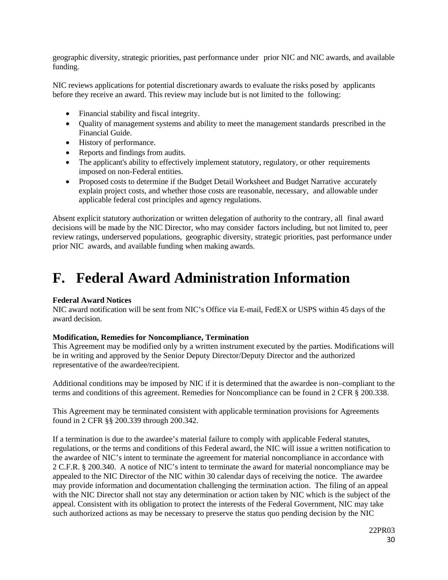geographic diversity, strategic priorities, past performance under prior NIC and NIC awards, and available funding.

NIC reviews applications for potential discretionary awards to evaluate the risks posed by applicants before they receive an award. This review may include but is not limited to the following:

- Financial stability and fiscal integrity.
- Quality of management systems and ability to meet the management standards prescribed in the Financial Guide.
- History of performance.
- Reports and findings from audits.
- The applicant's ability to effectively implement statutory, regulatory, or other requirements imposed on non-Federal entities.
- Proposed costs to determine if the Budget Detail Worksheet and Budget Narrative accurately explain project costs, and whether those costs are reasonable, necessary, and allowable under applicable federal cost principles and agency regulations.

Absent explicit statutory authorization or written delegation of authority to the contrary, all final award decisions will be made by the NIC Director, who may consider factors including, but not limited to, peer review ratings, underserved populations, geographic diversity, strategic priorities, past performance under prior NIC awards, and available funding when making awards.

# <span id="page-29-0"></span>**F. Federal Award Administration Information**

## <span id="page-29-1"></span>**Federal Award Notices**

NIC award notification will be sent from NIC's Office via E-mail, FedEX or USPS within 45 days of the award decision.

#### **Modification, Remedies for Noncompliance, Termination**

This Agreement may be modified only by a written instrument executed by the parties. Modifications will be in writing and approved by the Senior Deputy Director/Deputy Director and the authorized representative of the awardee/recipient.

Additional conditions may be imposed by NIC if it is determined that the awardee is non–compliant to the terms and conditions of this agreement. Remedies for Noncompliance can be found in 2 CFR § 200.338.

This Agreement may be terminated consistent with applicable termination provisions for Agreements found in 2 CFR §§ 200.339 through 200.342.

If a termination is due to the awardee's material failure to comply with applicable Federal statutes, regulations, or the terms and conditions of this Federal award, the NIC will issue a written notification to the awardee of NIC's intent to terminate the agreement for material noncompliance in accordance with 2 C.F.R. § 200.340. A notice of NIC's intent to terminate the award for material noncompliance may be appealed to the NIC Director of the NIC within 30 calendar days of receiving the notice. The awardee may provide information and documentation challenging the termination action. The filing of an appeal with the NIC Director shall not stay any determination or action taken by NIC which is the subject of the appeal. Consistent with its obligation to protect the interests of the Federal Government, NIC may take such authorized actions as may be necessary to preserve the status quo pending decision by the NIC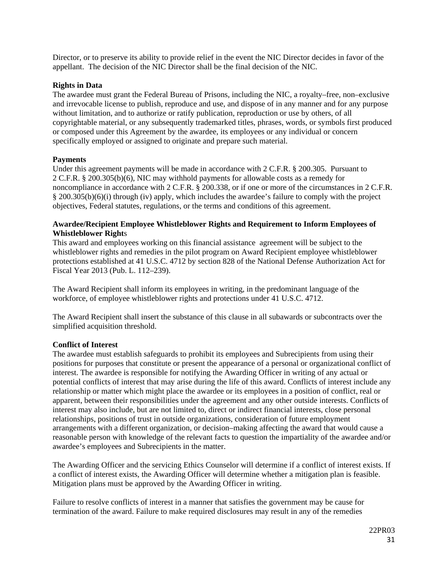Director, or to preserve its ability to provide relief in the event the NIC Director decides in favor of the appellant. The decision of the NIC Director shall be the final decision of the NIC.

## **Rights in Data**

The awardee must grant the Federal Bureau of Prisons, including the NIC, a royalty–free, non–exclusive and irrevocable license to publish, reproduce and use, and dispose of in any manner and for any purpose without limitation, and to authorize or ratify publication, reproduction or use by others, of all copyrightable material, or any subsequently trademarked titles, phrases, words, or symbols first produced or composed under this Agreement by the awardee, its employees or any individual or concern specifically employed or assigned to originate and prepare such material.

## **Payments**

Under this agreement payments will be made in accordance with 2 C.F.R. § 200.305. Pursuant to 2 C.F.R. § 200.305(b)(6), NIC may withhold payments for allowable costs as a remedy for noncompliance in accordance with 2 C.F.R. § 200.338, or if one or more of the circumstances in 2 C.F.R. § 200.305(b)(6)(i) through (iv) apply, which includes the awardee's failure to comply with the project objectives, Federal statutes, regulations, or the terms and conditions of this agreement.

## **Awardee/Recipient Employee Whistleblower Rights and Requirement to Inform Employees of Whistleblower Right**s

This award and employees working on this financial assistance agreement will be subject to the whistleblower rights and remedies in the pilot program on Award Recipient employee whistleblower protections established at 41 U.S.C. 4712 by section 828 of the National Defense Authorization Act for Fiscal Year 2013 (Pub. L. 112–239).

The Award Recipient shall inform its employees in writing, in the predominant language of the workforce, of employee whistleblower rights and protections under 41 U.S.C. 4712.

The Award Recipient shall insert the substance of this clause in all subawards or subcontracts over the simplified acquisition threshold.

## **Conflict of Interest**

The awardee must establish safeguards to prohibit its employees and Subrecipients from using their positions for purposes that constitute or present the appearance of a personal or organizational conflict of interest. The awardee is responsible for notifying the Awarding Officer in writing of any actual or potential conflicts of interest that may arise during the life of this award. Conflicts of interest include any relationship or matter which might place the awardee or its employees in a position of conflict, real or apparent, between their responsibilities under the agreement and any other outside interests. Conflicts of interest may also include, but are not limited to, direct or indirect financial interests, close personal relationships, positions of trust in outside organizations, consideration of future employment arrangements with a different organization, or decision–making affecting the award that would cause a reasonable person with knowledge of the relevant facts to question the impartiality of the awardee and/or awardee's employees and Subrecipients in the matter.

The Awarding Officer and the servicing Ethics Counselor will determine if a conflict of interest exists. If a conflict of interest exists, the Awarding Officer will determine whether a mitigation plan is feasible. Mitigation plans must be approved by the Awarding Officer in writing.

Failure to resolve conflicts of interest in a manner that satisfies the government may be cause for termination of the award. Failure to make required disclosures may result in any of the remedies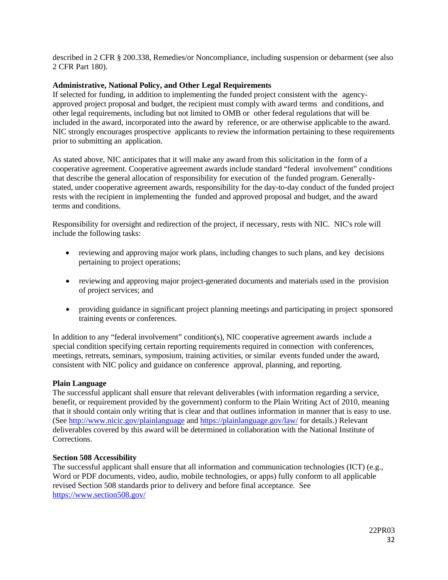described in 2 CFR § 200.338, Remedies/or Noncompliance, including suspension or debarment (see also 2 CFR Part 180).

## <span id="page-31-0"></span>**Administrative, National Policy, and Other Legal Requirements**

If selected for funding, in addition to implementing the funded project consistent with the agencyapproved project proposal and budget, the recipient must comply with award terms and conditions, and other legal requirements, including but not limited to OMB or other federal regulations that will be included in the award, incorporated into the award by reference, or are otherwise applicable to the award. NIC strongly encourages prospective applicants to review the information pertaining to these requirements prior to submitting an application.

As stated above, NIC anticipates that it will make any award from this solicitation in the form of a cooperative agreement. Cooperative agreement awards include standard "federal involvement" conditions that describe the general allocation of responsibility for execution of the funded program. Generallystated, under cooperative agreement awards, responsibility for the day-to-day conduct of the funded project rests with the recipient in implementing the funded and approved proposal and budget, and the award terms and conditions.

Responsibility for oversight and redirection of the project, if necessary, rests with NIC. NIC's role will include the following tasks:

- reviewing and approving major work plans, including changes to such plans, and key decisions pertaining to project operations;
- reviewing and approving major project-generated documents and materials used in the provision of project services; and
- providing guidance in significant project planning meetings and participating in project sponsored training events or conferences.

In addition to any "federal involvement" condition(s), NIC cooperative agreement awards include a special condition specifying certain reporting requirements required in connection with conferences, meetings, retreats, seminars, symposium, training activities, or similar events funded under the award, consistent with NIC policy and guidance on conference approval, planning, and reporting.

#### <span id="page-31-1"></span>**Plain Language**

The successful applicant shall ensure that relevant deliverables (with information regarding a service, benefit, or requirement provided by the government) conform to the Plain Writing Act of 2010, meaning that it should contain only writing that is clear and that outlines information in manner that is easy to use. (See<http://www.nicic.gov/plainlanguage> and<https://plainlanguage.gov/law/> for details.) Relevant deliverables covered by this award will be determined in collaboration with the National Institute of Corrections.

#### <span id="page-31-2"></span>**Section 508 Accessibility**

The successful applicant shall ensure that all information and communication technologies (ICT) (e.g., Word or PDF documents, video, audio, mobile technologies, or apps) fully conform to all applicable revised Section 508 standards prior to delivery and before final acceptance. See <https://www.section508.gov/>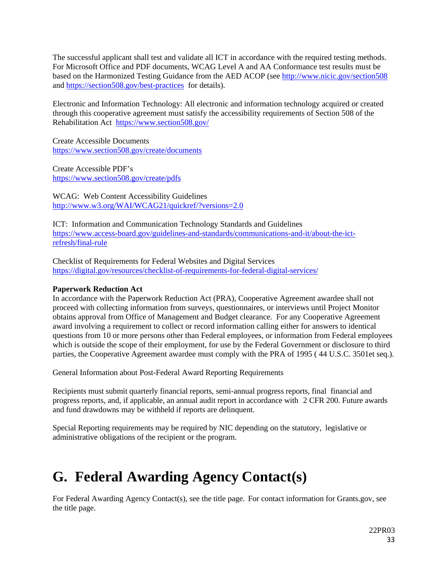The successful applicant shall test and validate all ICT in accordance with the required testing methods. For Microsoft Office and PDF documents, WCAG Level A and AA Conformance test results must be based on the Harmonized Testing Guidance from the AED ACOP (see<http://www.nicic.gov/section508> and<https://section508.gov/best-practices>for details).

Electronic and Information Technology: All electronic and information technology acquired or created through this cooperative agreement must satisfy the accessibility requirements of Section 508 of the Rehabilitation Act <https://www.section508.gov/>

Create Accessible Documents <https://www.section508.gov/create/documents>

Create Accessible PDF's <https://www.section508.gov/create/pdfs>

WCAG: Web Content Accessibility Guidelines <http://www.w3.org/WAI/WCAG21/quickref/?versions=2.0>

ICT: Information and Communication Technology Standards and Guidelines [https://www.access-board.gov/guidelines-and-standards/communications-and-it/about-the-ict](https://www.access-board.gov/guidelines-and-standards/communications-and-it/about-the-ict-refresh/final-rule)[refresh/final-rule](https://www.access-board.gov/guidelines-and-standards/communications-and-it/about-the-ict-refresh/final-rule)

Checklist of Requirements for Federal Websites and Digital Services <https://digital.gov/resources/checklist-of-requirements-for-federal-digital-services/>

## <span id="page-32-0"></span>**Paperwork Reduction Act**

In accordance with the Paperwork Reduction Act (PRA), Cooperative Agreement awardee shall not proceed with collecting information from surveys, questionnaires, or interviews until Project Monitor obtains approval from Office of Management and Budget clearance. For any Cooperative Agreement award involving a requirement to collect or record information calling either for answers to identical questions from 10 or more persons other than Federal employees, or information from Federal employees which is outside the scope of their employment, for use by the Federal Government or disclosure to third parties, the Cooperative Agreement awardee must comply with the PRA of 1995 ( 44 U.S.C. 3501et seq.).

General Information about Post-Federal Award Reporting Requirements

Recipients must submit quarterly financial reports, semi-annual progress reports, final financial and progress reports, and, if applicable, an annual audit report in accordance with 2 CFR 200. Future awards and fund drawdowns may be withheld if reports are delinquent.

Special Reporting requirements may be required by NIC depending on the statutory, legislative or administrative obligations of the recipient or the program.

# <span id="page-32-1"></span>**G. Federal Awarding Agency Contact(s)**

For Federal Awarding Agency Contact(s), see the title page. For contact information for Grants.gov, see the title page.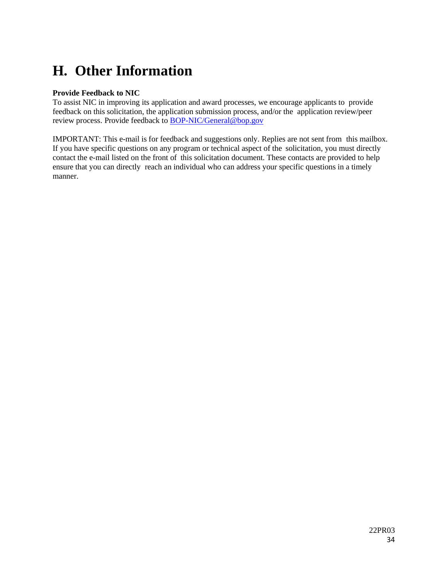# <span id="page-33-0"></span>**H. Other Information**

## <span id="page-33-1"></span>**Provide Feedback to NIC**

To assist NIC in improving its application and award processes, we encourage applicants to provide feedback on this solicitation, the application submission process, and/or the application review/peer review process. Provide feedback to **BOP-NIC/General@bop.gov** 

IMPORTANT: This e-mail is for feedback and suggestions only. Replies are not sent from this mailbox. If you have specific questions on any program or technical aspect of the solicitation, you must directly contact the e-mail listed on the front of this solicitation document. These contacts are provided to help ensure that you can directly reach an individual who can address your specific questions in a timely manner.